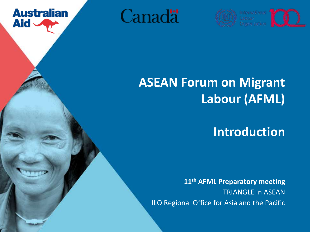**Australian Aid** 







# **ASEAN Forum on Migrant Labour (AFML)**

# **Introduction**

**11th AFML Preparatory meeting**  TRIANGLE in ASEAN ILO Regional Office for Asia and the Pacific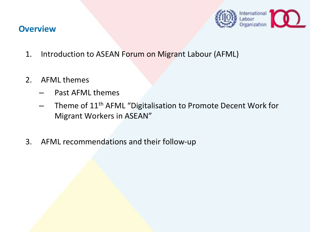### **Overview**



- 1. Introduction to ASEAN Forum on Migrant Labour (AFML)
- 2. AFML themes
	- Past AFML themes
	- Theme of 11<sup>th</sup> AFML "Digitalisation to Promote Decent Work for Migrant Workers in ASEAN"
- 3. AFML recommendations and their follow-up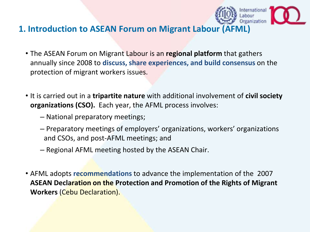

# **1. Introduction to ASEAN Forum on Migrant Labour (AFML)**

- The ASEAN Forum on Migrant Labour is an **regional platform** that gathers annually since 2008 to **discuss, share experiences, and build consensus** on the protection of migrant workers issues.
- It is carried out in a **tripartite nature** with additional involvement of **civil society organizations (CSO).** Each year, the AFML process involves:
	- National preparatory meetings;
	- Preparatory meetings of employers' organizations, workers' organizations and CSOs, and post-AFML meetings; and
	- Regional AFML meeting hosted by the ASEAN Chair.
- AFML adopts **recommendations** to advance the implementation of the 2007 **ASEAN Declaration on the Protection and Promotion of the Rights of Migrant Workers** (Cebu Declaration).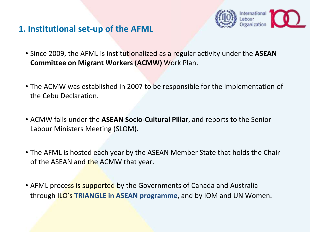

# **1. Institutional set-up of the AFML**

- Since 2009, the AFML is institutionalized as a regular activity under the **ASEAN Committee on Migrant Workers (ACMW)** Work Plan.
- The ACMW was established in 2007 to be responsible for the implementation of the Cebu Declaration.
- ACMW falls under the **ASEAN Socio-Cultural Pillar**, and reports to the Senior Labour Ministers Meeting (SLOM).
- The AFML is hosted each year by the ASEAN Member State that holds the Chair of the ASEAN and the ACMW that year.
- AFML process is supported by the Governments of Canada and Australia through ILO's **TRIANGLE in ASEAN programme**, and by IOM and UN Women.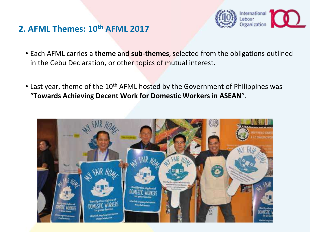

## **2. AFML Themes: 10th AFML 2017**

- Each AFML carries a **theme** and **sub-themes**, selected from the obligations outlined in the Cebu Declaration, or other topics of mutual interest.
- Last year, theme of the 10<sup>th</sup> AFML hosted by the Government of Philippines was "**Towards Achieving Decent Work for Domestic Workers in ASEAN**".

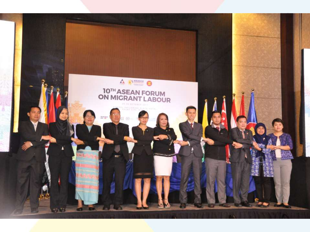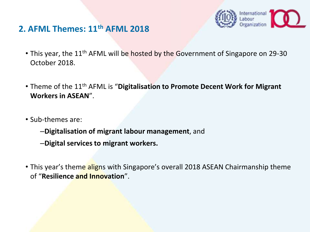

## **2. AFML Themes: 11th AFML 2018**

- This year, the 11<sup>th</sup> AFML will be hosted by the Government of Singapore on 29-30 October 2018.
- Theme of the 11th AFML is "**Digitalisation to Promote Decent Work for Migrant Workers in ASEAN**".
- Sub-themes are:
	- –**Digitalisation of migrant labour management**, and
	- –**Digital services to migrant workers.**
- This year's theme aligns with Singapore's overall 2018 ASEAN Chairmanship theme of "**Resilience and Innovation**".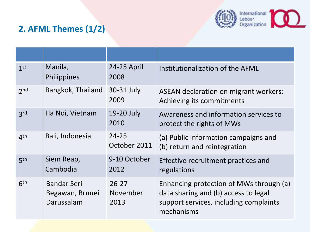# **2. AFML Themes (1/2)**



| 1 <sup>st</sup> | Manila,<br>Philippines                              | 24-25 April<br>2008           | Institutionalization of the AFML                                                                                                        |  |
|-----------------|-----------------------------------------------------|-------------------------------|-----------------------------------------------------------------------------------------------------------------------------------------|--|
| 2 <sub>nd</sub> | Bangkok, Thailand                                   | 30-31 July<br>2009            | <b>ASEAN declaration on migrant workers:</b><br>Achieving its commitments                                                               |  |
| 3rd             | Ha Noi, Vietnam                                     | 19-20 July<br>2010            | Awareness and information services to<br>protect the rights of MWs                                                                      |  |
| 4 <sup>th</sup> | Bali, Indonesia                                     | $24 - 25$<br>October 2011     | (a) Public information campaigns and<br>(b) return and reintegration                                                                    |  |
| 5 <sup>th</sup> | Siem Reap,<br>Cambodia                              | 9-10 October<br>2012          | Effective recruitment practices and<br>regulations                                                                                      |  |
| 6 <sup>th</sup> | <b>Bandar Seri</b><br>Begawan, Brunei<br>Darussalam | $26 - 27$<br>November<br>2013 | Enhancing protection of MWs through (a)<br>data sharing and (b) access to legal<br>support services, including complaints<br>mechanisms |  |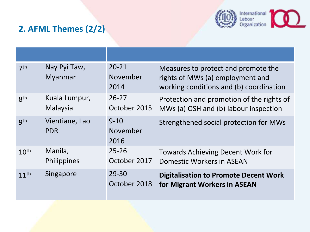# **2. AFML Themes (2/2)**



| 7 <sup>th</sup>  | Nay Pyi Taw,<br>Myanmar       | $20 - 21$<br>November<br>2014 | Measures to protect and promote the<br>rights of MWs (a) employment and<br>working conditions and (b) coordination |
|------------------|-------------------------------|-------------------------------|--------------------------------------------------------------------------------------------------------------------|
| <b>Rth</b>       | Kuala Lumpur,<br>Malaysia     | $26 - 27$<br>October 2015     | Protection and promotion of the rights of<br>MWs (a) OSH and (b) labour inspection                                 |
| gth              | Vientiane, Lao<br><b>PDR</b>  | $9 - 10$<br>November<br>2016  | Strengthened social protection for MWs                                                                             |
| 10 <sup>th</sup> | Manila,<br><b>Philippines</b> | $25 - 26$<br>October 2017     | <b>Towards Achieving Decent Work for</b><br>Domestic Workers in ASEAN                                              |
| 11 <sup>th</sup> | Singapore                     | $29 - 30$<br>October 2018     | <b>Digitalisation to Promote Decent Work</b><br>for Migrant Workers in ASEAN                                       |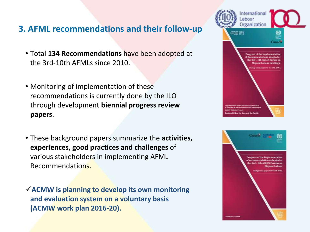### **3. AFML recommendations and their follow-up**

- Total **134 Recommendations** have been adopted at the 3rd-10th AFMLs since 2010.
- Monitoring of implementation of these recommendations is currently done by the ILO through development **biennial progress review papers**.
- These background papers summarize the **activities, experiences, good practices and challenges** of various stakeholders in implementing AFML Recommendations.

**ACMW is planning to develop its own monitoring and evaluation system on a voluntary basis (ACMW work plan 2016-20).**



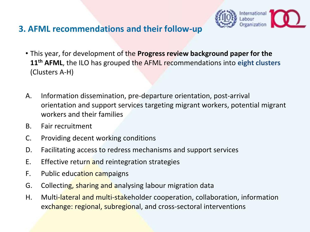

### **3. AFML recommendations and their follow-up**

- This year, for development of the **Progress review background paper for the 11th AFML**, the ILO has grouped the AFML recommendations into **eight clusters**  (Clusters A-H)
- A. Information dissemination, pre-departure orientation, post-arrival orientation and support services targeting migrant workers, potential migrant workers and their families
- B. Fair recruitment
- C. Providing decent working conditions
- D. Facilitating access to redress mechanisms and support services
- E. Effective return and reintegration strategies
- F. Public education campaigns
- G. Collecting, sharing and analysing labour migration data
- H. Multi-lateral and multi-stakeholder cooperation, collaboration, information exchange: regional, subregional, and cross-sectoral interventions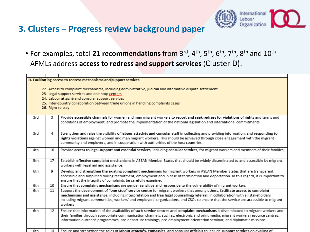

# **3. Clusters – Progress review background paper**

• For examples, total **21 recommendations** from 3rd, 4th, 5th, 6th, 7th, 8th and 10th AFMLs address **access to redress and support services** (Cluster D).

|                                                                                                           |                                                                                   | D. Facilitating access to redress mechanisms and support services                                                                       |  |  |  |
|-----------------------------------------------------------------------------------------------------------|-----------------------------------------------------------------------------------|-----------------------------------------------------------------------------------------------------------------------------------------|--|--|--|
|                                                                                                           |                                                                                   |                                                                                                                                         |  |  |  |
| 22. Access to complaint mechanisms, including administrative, judicial and alternative dispute settlement |                                                                                   |                                                                                                                                         |  |  |  |
|                                                                                                           | 23. Legal support services and one-stop centers                                   |                                                                                                                                         |  |  |  |
|                                                                                                           |                                                                                   | 24. Labour attaché and consular support services                                                                                        |  |  |  |
|                                                                                                           | 25. Inter-country collaboration between trade unions in handling complaints cases |                                                                                                                                         |  |  |  |
|                                                                                                           | 26. Right to stay                                                                 |                                                                                                                                         |  |  |  |
|                                                                                                           |                                                                                   |                                                                                                                                         |  |  |  |
| 3rd                                                                                                       | 3                                                                                 | Provide accessible channels for women and men migrant workers to report and seek redress for violations of rights and terms and         |  |  |  |
|                                                                                                           |                                                                                   | conditions of employment, and promote the implementation of the national legislation and international commitments.                     |  |  |  |
|                                                                                                           |                                                                                   |                                                                                                                                         |  |  |  |
| 3rd                                                                                                       | 4                                                                                 | Strengthen and raise the visibility of labour attachés and consular staff in collecting and providing information, and responding to    |  |  |  |
|                                                                                                           |                                                                                   | rights violations against women and men migrant workers. This should be achieved through close engagement with the migrant              |  |  |  |
|                                                                                                           |                                                                                   | community and employers, and in cooperation with authorities of the host countries.                                                     |  |  |  |
|                                                                                                           |                                                                                   |                                                                                                                                         |  |  |  |
| 4th                                                                                                       | 16                                                                                | Provide access to legal support and essential services, including consular services, for migrant workers and members of their families; |  |  |  |
|                                                                                                           |                                                                                   |                                                                                                                                         |  |  |  |
| 5th                                                                                                       | 17                                                                                | Establish effective complaint mechanisms in ASEAN Member States that should be widely disseminated to and accessible by migrant         |  |  |  |
|                                                                                                           |                                                                                   | workers with legal aid and assistance:                                                                                                  |  |  |  |
| 6th                                                                                                       | 9                                                                                 | Develop and strengthen the existing complaint mechanisms for migrant workers in ASEAN Member States that are transparent,               |  |  |  |
|                                                                                                           |                                                                                   | accessible and simplified during recruitment, employment and in case of termination and deportation. In this regard, it is important to |  |  |  |
|                                                                                                           |                                                                                   | ensure that the integrity of complaints be carefully examined                                                                           |  |  |  |
| 6th                                                                                                       | 10                                                                                | Ensure that complaint mechanisms are gender sensitive and responsive to the vulnerability of migrant workers                            |  |  |  |
| 6th                                                                                                       | 11                                                                                | Support the development of "one-stop" service centre for migrant workers that among others, facilitate access to complaint              |  |  |  |
|                                                                                                           |                                                                                   | mechanisms and assistance, including interpretation and free legal counselling/referral, in collaboration with all stakeholders         |  |  |  |
|                                                                                                           |                                                                                   | including migrant communities, workers' and employers' organizations, and CSOs to ensure that the service are accessible to migrant     |  |  |  |
|                                                                                                           |                                                                                   | workers                                                                                                                                 |  |  |  |
| 6th                                                                                                       | 12                                                                                | Ensure that information of the availability of such service centres and complaint mechanisms is disseminated to migrant workers and     |  |  |  |
|                                                                                                           |                                                                                   | their families through appropriate communication channels, such as, electronic and print media, migrant workers resource centres,       |  |  |  |
|                                                                                                           |                                                                                   | information outreach programmes, pre-departure trainings, pre-employment orientation seminar, and diplomatic missions;                  |  |  |  |
|                                                                                                           |                                                                                   |                                                                                                                                         |  |  |  |
| 6th                                                                                                       | 13                                                                                | Ensure and strengthen the roles of labour attachés, embassies, and consular officials to include support services on availing of        |  |  |  |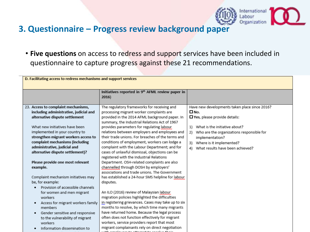

# **3. Questionnaire – Progress review background paper**

 $\mathbb{R}^2$ 

• **Five questions** on access to redress and support services have been included in questionnaire to capture progress against these 21 recommendations.

| D. Facilitating access to redress mechanisms and support services             |                                                                                                                              |                                                                |  |  |  |  |
|-------------------------------------------------------------------------------|------------------------------------------------------------------------------------------------------------------------------|----------------------------------------------------------------|--|--|--|--|
|                                                                               | Initiatives reported in 9 <sup>th</sup> AFML review paper in<br>2016                                                         |                                                                |  |  |  |  |
| 23. Access to complaint mechanisms,<br>including administrative, judicial and | The regulatory frameworks for receiving and<br>processing migrant worker complaints are                                      | Have new developments taken place since 2016?<br>$\square$ No. |  |  |  |  |
| alternative dispute settlement                                                | provided in the 2014 AFML background paper. In<br>summary, the Industrial Relations Act of 1967                              | T Yes, please provide details:                                 |  |  |  |  |
| What new initiatives have been                                                | provides parameters for regulating labour                                                                                    | 1) What is the initiative about?                               |  |  |  |  |
| implemented in your country to                                                | relations between employers and employees and                                                                                | Who are the organizations responsible for<br>2)                |  |  |  |  |
| strengthen migrant workers access to                                          | their trade unions. For breaches of the terms and                                                                            | implementation?                                                |  |  |  |  |
| complaint mechanisms (including                                               | conditions of employment, workers can lodge a                                                                                | Where is it implemented?<br>3)                                 |  |  |  |  |
| administrative, judicial and                                                  | complaint with the Labour Department; and for                                                                                | 4) What results have been achieved?                            |  |  |  |  |
| alternative dispute settlement)?                                              | cases of unlawful dismissal, objections can be                                                                               |                                                                |  |  |  |  |
| Please provide one most relevant                                              | registered with the Industrial Relations<br>Department. OSH-related complaints are also                                      |                                                                |  |  |  |  |
| example.                                                                      | channelled through DOSH by employers'                                                                                        |                                                                |  |  |  |  |
|                                                                               | associations and trade unions. The Government                                                                                |                                                                |  |  |  |  |
| Complaint mechanism initiatives may                                           | has established a 24-hour SMS helpline for labour                                                                            |                                                                |  |  |  |  |
| be, for example:                                                              | disputes.                                                                                                                    |                                                                |  |  |  |  |
| Provision of accessible channels                                              |                                                                                                                              |                                                                |  |  |  |  |
| for women and men migrant                                                     | An ILO (2016) review of Malaysian labour                                                                                     |                                                                |  |  |  |  |
| workers                                                                       | migration policies highlighted the difficulties                                                                              |                                                                |  |  |  |  |
| Access for migrant workers family                                             | in registering grievances. Cases may take up to six                                                                          |                                                                |  |  |  |  |
| members                                                                       | months to resolve, by which time many migrants                                                                               |                                                                |  |  |  |  |
| Gender sensitive and responsive<br>٠                                          | have returned home. Because the legal process                                                                                |                                                                |  |  |  |  |
| to the vulnerability of migrant                                               | often does not function effectively for migrant                                                                              |                                                                |  |  |  |  |
| workers                                                                       | workers, service providers report that most                                                                                  |                                                                |  |  |  |  |
| Information dissemination to                                                  | migrant complainants rely on direct negotiation<br>and all any series that the best control that the control base of basebar |                                                                |  |  |  |  |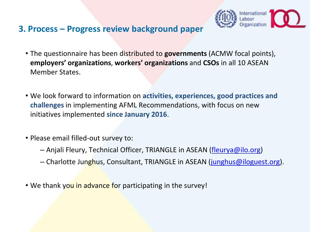

### **3. Process – Progress review background paper**

- The questionnaire has been distributed to **governments** (ACMW focal points), **employers' organizations**, **workers' organizations** and **CSOs** in all 10 ASEAN Member States.
- We look forward to information on **activities, experiences, good practices and challenges** in implementing AFML Recommendations, with focus on new initiatives implemented **since January 2016**.
- Please email filled-out survey to:
	- Anjali Fleury, Technical Officer, TRIANGLE in ASEAN [\(fleurya@ilo.org](mailto:fleurya@ilo.org))
	- Charlotte Junghus, Consultant, TRIANGLE in ASEAN [\(junghus@iloguest.org](mailto:junghus@iloguest.org)).
- We thank you in advance for participating in the survey!